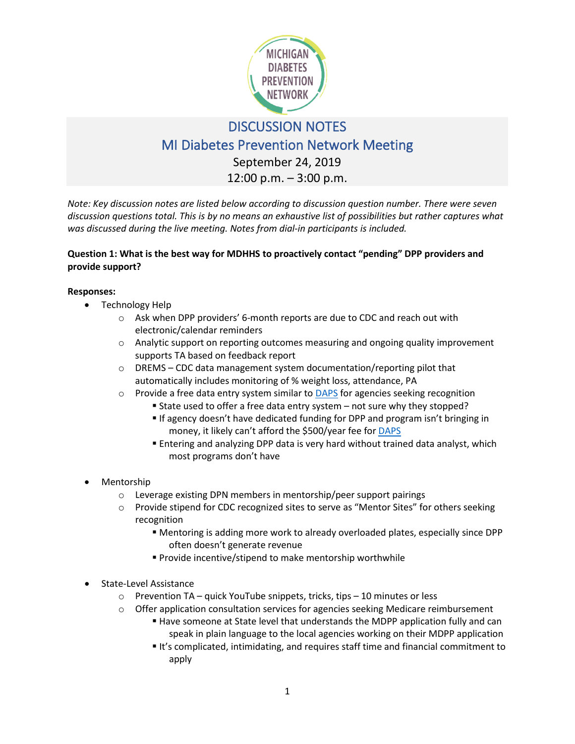

# DISCUSSION NOTES

# MI Diabetes Prevention Network Meeting

September 24, 2019

12:00 p.m. – 3:00 p.m.

*Note: Key discussion notes are listed below according to discussion question number. There were seven discussion questions total. This is by no means an exhaustive list of possibilities but rather captures what was discussed during the live meeting. Notes from dial-in participants is included.* 

# **Question 1: What is the best way for MDHHS to proactively contact "pending" DPP providers and provide support?**

## **Responses:**

- Technology Help
	- o Ask when DPP providers' 6-month reports are due to CDC and reach out with electronic/calendar reminders
	- o Analytic support on reporting outcomes measuring and ongoing quality improvement supports TA based on feedback report
	- $\circ$  DREMS CDC data management system documentation/reporting pilot that automatically includes monitoring of % weight loss, attendance, PA
	- $\circ$  Provide a free data entry system similar to [DAPS](https://www.diabeteseducator.org/prevention/data-analysis-of-participants-system) for agencies seeking recognition
		- State used to offer a free data entry system not sure why they stopped?
		- **If agency doesn't have dedicated funding for DPP and program isn't bringing in** money, it likely can't afford the \$500/year fee for [DAPS](https://www.diabeteseducator.org/prevention/data-analysis-of-participants-system)
		- Entering and analyzing DPP data is very hard without trained data analyst, which most programs don't have
- Mentorship
	- o Leverage existing DPN members in mentorship/peer support pairings
	- $\circ$  Provide stipend for CDC recognized sites to serve as "Mentor Sites" for others seeking recognition
		- Mentoring is adding more work to already overloaded plates, especially since DPP often doesn't generate revenue
		- **Provide incentive/stipend to make mentorship worthwhile**
- State-Level Assistance
	- o Prevention TA quick YouTube snippets, tricks, tips 10 minutes or less
	- o Offer application consultation services for agencies seeking Medicare reimbursement
		- Have someone at State level that understands the MDPP application fully and can speak in plain language to the local agencies working on their MDPP application
		- It's complicated, intimidating, and requires staff time and financial commitment to apply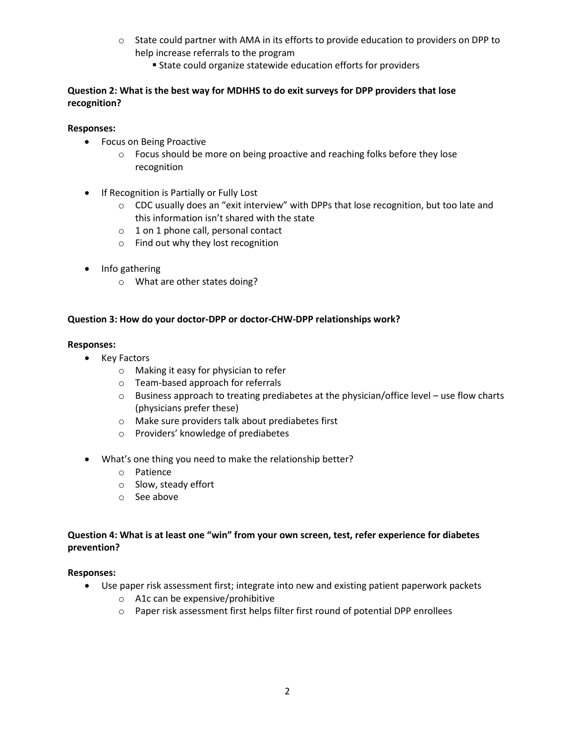- o State could partner with AMA in its efforts to provide education to providers on DPP to help increase referrals to the program
	- State could organize statewide education efforts for providers

## **Question 2: What is the best way for MDHHS to do exit surveys for DPP providers that lose recognition?**

## **Responses:**

- Focus on Being Proactive
	- o Focus should be more on being proactive and reaching folks before they lose recognition
- If Recognition is Partially or Fully Lost
	- o CDC usually does an "exit interview" with DPPs that lose recognition, but too late and this information isn't shared with the state
	- o 1 on 1 phone call, personal contact
	- o Find out why they lost recognition
- Info gathering
	- o What are other states doing?

#### **Question 3: How do your doctor-DPP or doctor-CHW-DPP relationships work?**

#### **Responses:**

- Key Factors
	- o Making it easy for physician to refer
	- o Team-based approach for referrals
	- $\circ$  Business approach to treating prediabetes at the physician/office level use flow charts (physicians prefer these)
	- o Make sure providers talk about prediabetes first
	- o Providers' knowledge of prediabetes
- What's one thing you need to make the relationship better?
	- o Patience
	- o Slow, steady effort
	- o See above

## **Question 4: What is at least one "win" from your own screen, test, refer experience for diabetes prevention?**

#### **Responses:**

- Use paper risk assessment first; integrate into new and existing patient paperwork packets
	- o A1c can be expensive/prohibitive
	- o Paper risk assessment first helps filter first round of potential DPP enrollees